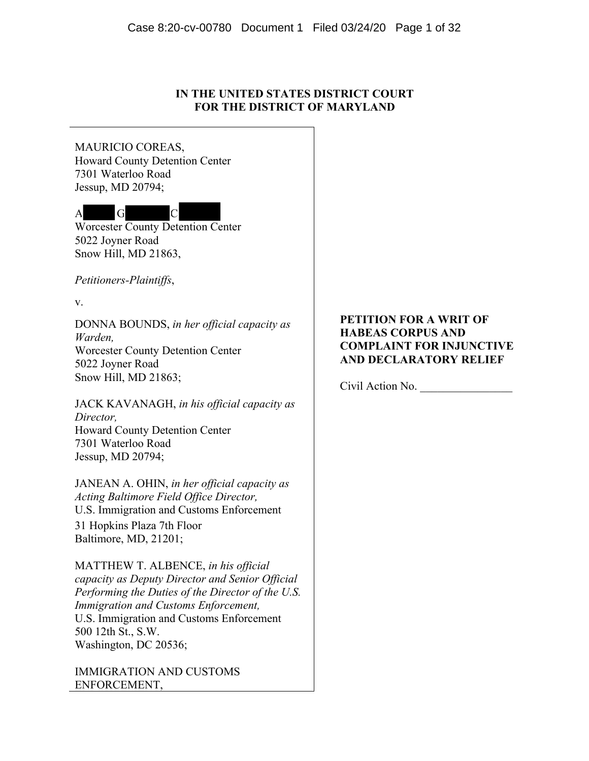# **IN THE UNITED STATES DISTRICT COURT FOR THE DISTRICT OF MARYLAND**

MAURICIO COREAS, Howard County Detention Center 7301 Waterloo Road Jessup, MD 20794;



Worcester County Detention Center 5022 Joyner Road Snow Hill, MD 21863,

*Petitioners-Plaintiffs*,

v.

DONNA BOUNDS, *in her official capacity as Warden,* Worcester County Detention Center 5022 Joyner Road Snow Hill, MD 21863;

JACK KAVANAGH, *in his official capacity as Director,* Howard County Detention Center 7301 Waterloo Road Jessup, MD 20794;

JANEAN A. OHIN, *in her official capacity as Acting Baltimore Field Office Director,*  U.S. Immigration and Customs Enforcement 31 Hopkins Plaza 7th Floor Baltimore, MD, 21201;

MATTHEW T. ALBENCE, *in his official capacity as Deputy Director and Senior Official Performing the Duties of the Director of the U.S. Immigration and Customs Enforcement,* U.S. Immigration and Customs Enforcement 500 12th St., S.W. Washington, DC 20536;

IMMIGRATION AND CUSTOMS ENFORCEMENT,

# **PETITION FOR A WRIT OF HABEAS CORPUS AND COMPLAINT FOR INJUNCTIVE AND DECLARATORY RELIEF**

Civil Action No.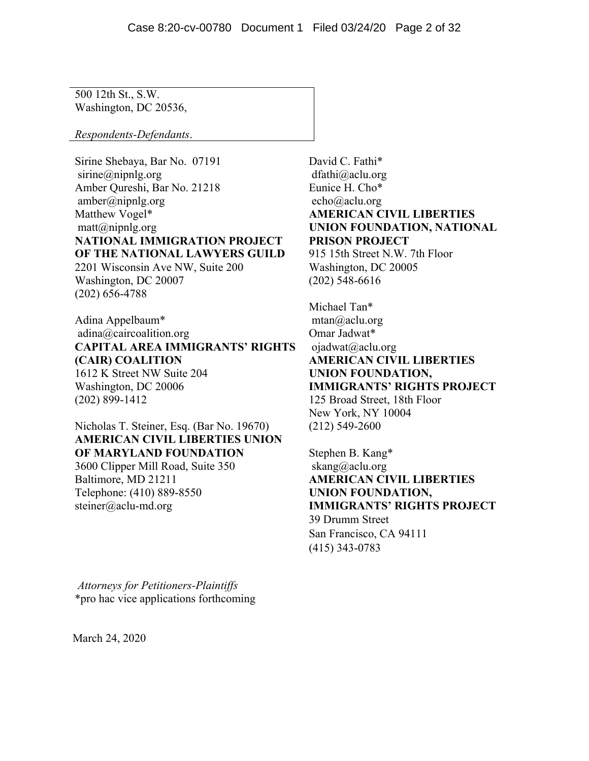500 12th St., S.W. Washington, DC 20536,

*Respondents-Defendants*.

Sirine Shebaya, Bar No. 07191 sirine@nipnlg.org Amber Qureshi, Bar No. 21218 amber@nipnlg.org Matthew Vogel\*  $\text{matt}(a)$ nipnlg.org **NATIONAL IMMIGRATION PROJECT OF THE NATIONAL LAWYERS GUILD** 2201 Wisconsin Ave NW, Suite 200 Washington, DC 20007 (202) 656-4788

Adina Appelbaum\* adina@caircoalition.org **CAPITAL AREA IMMIGRANTS' RIGHTS (CAIR) COALITION** 1612 K Street NW Suite 204 Washington, DC 20006 (202) 899-1412

Nicholas T. Steiner, Esq. (Bar No. 19670) **AMERICAN CIVIL LIBERTIES UNION OF MARYLAND FOUNDATION** 3600 Clipper Mill Road, Suite 350

Baltimore, MD 21211 Telephone: (410) 889-8550 steiner@aclu-md.org

*Attorneys for Petitioners-Plaintiffs* \*pro hac vice applications forthcoming

March 24, 2020

David C. Fathi\* dfathi@aclu.org Eunice H. Cho\* echo@aclu.org **AMERICAN CIVIL LIBERTIES UNION FOUNDATION, NATIONAL PRISON PROJECT** 915 15th Street N.W. 7th Floor

Washington, DC 20005 (202) 548-6616

Michael Tan\* mtan@aclu.org Omar Jadwat\* ojadwat@aclu.org **AMERICAN CIVIL LIBERTIES UNION FOUNDATION, IMMIGRANTS' RIGHTS PROJECT** 125 Broad Street, 18th Floor New York, NY 10004 (212) 549-2600

Stephen B. Kang\* skang@aclu.org **AMERICAN CIVIL LIBERTIES UNION FOUNDATION, IMMIGRANTS' RIGHTS PROJECT** 39 Drumm Street San Francisco, CA 94111 (415) 343-0783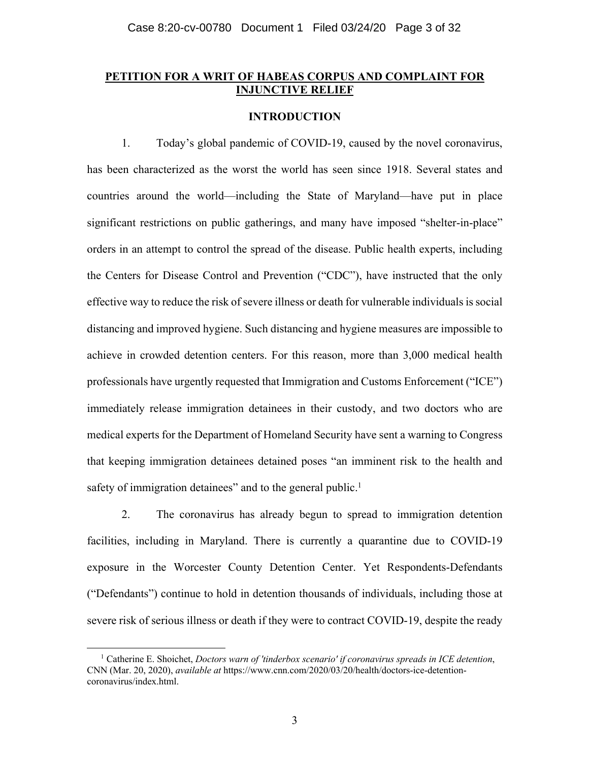## **PETITION FOR A WRIT OF HABEAS CORPUS AND COMPLAINT FOR INJUNCTIVE RELIEF**

## **INTRODUCTION**

1. Today's global pandemic of COVID-19, caused by the novel coronavirus, has been characterized as the worst the world has seen since 1918. Several states and countries around the world—including the State of Maryland—have put in place significant restrictions on public gatherings, and many have imposed "shelter-in-place" orders in an attempt to control the spread of the disease. Public health experts, including the Centers for Disease Control and Prevention ("CDC"), have instructed that the only effective way to reduce the risk of severe illness or death for vulnerable individuals is social distancing and improved hygiene. Such distancing and hygiene measures are impossible to achieve in crowded detention centers. For this reason, more than 3,000 medical health professionals have urgently requested that Immigration and Customs Enforcement ("ICE") immediately release immigration detainees in their custody, and two doctors who are medical experts for the Department of Homeland Security have sent a warning to Congress that keeping immigration detainees detained poses "an imminent risk to the health and safety of immigration detainees" and to the general public.<sup>1</sup>

2. The coronavirus has already begun to spread to immigration detention facilities, including in Maryland. There is currently a quarantine due to COVID-19 exposure in the Worcester County Detention Center. Yet Respondents-Defendants ("Defendants") continue to hold in detention thousands of individuals, including those at severe risk of serious illness or death if they were to contract COVID-19, despite the ready

<sup>1</sup> Catherine E. Shoichet, *Doctors warn of 'tinderbox scenario' if coronavirus spreads in ICE detention*, CNN (Mar. 20, 2020), *available at* https://www.cnn.com/2020/03/20/health/doctors-ice-detentioncoronavirus/index.html.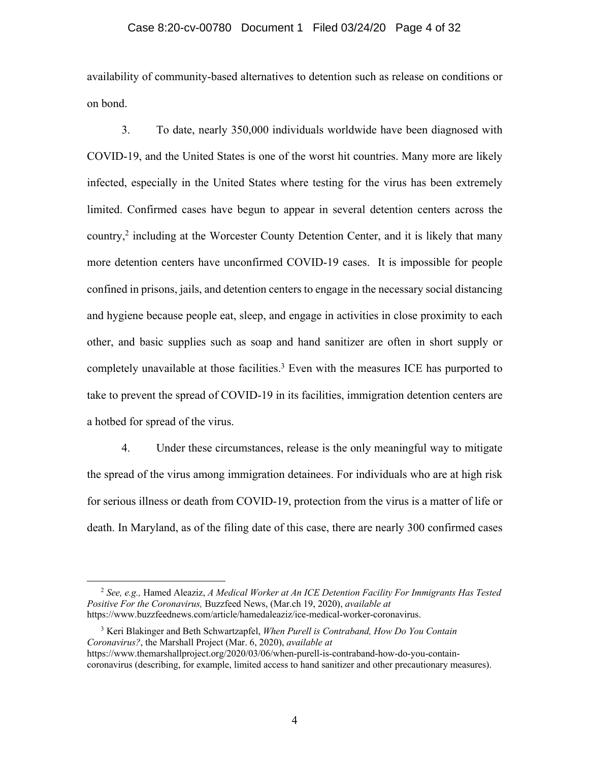#### Case 8:20-cv-00780 Document 1 Filed 03/24/20 Page 4 of 32

availability of community-based alternatives to detention such as release on conditions or on bond.

3. To date, nearly 350,000 individuals worldwide have been diagnosed with COVID-19, and the United States is one of the worst hit countries. Many more are likely infected, especially in the United States where testing for the virus has been extremely limited. Confirmed cases have begun to appear in several detention centers across the country, <sup>2</sup> including at the Worcester County Detention Center, and it is likely that many more detention centers have unconfirmed COVID-19 cases. It is impossible for people confined in prisons, jails, and detention centers to engage in the necessary social distancing and hygiene because people eat, sleep, and engage in activities in close proximity to each other, and basic supplies such as soap and hand sanitizer are often in short supply or completely unavailable at those facilities.<sup>3</sup> Even with the measures ICE has purported to take to prevent the spread of COVID-19 in its facilities, immigration detention centers are a hotbed for spread of the virus.

4. Under these circumstances, release is the only meaningful way to mitigate the spread of the virus among immigration detainees. For individuals who are at high risk for serious illness or death from COVID-19, protection from the virus is a matter of life or death. In Maryland, as of the filing date of this case, there are nearly 300 confirmed cases

<sup>2</sup> *See, e.g.,* Hamed Aleaziz, *A Medical Worker at An ICE Detention Facility For Immigrants Has Tested Positive For the Coronavirus,* Buzzfeed News, (Mar.ch 19, 2020), *available at* https://www.buzzfeednews.com/article/hamedaleaziz/ice-medical-worker-coronavirus.

<sup>3</sup> Keri Blakinger and Beth Schwartzapfel, *When Purell is Contraband, How Do You Contain Coronavirus?*, the Marshall Project (Mar. 6, 2020), *available at* https://www.themarshallproject.org/2020/03/06/when-purell-is-contraband-how-do-you-contain-

coronavirus (describing, for example, limited access to hand sanitizer and other precautionary measures).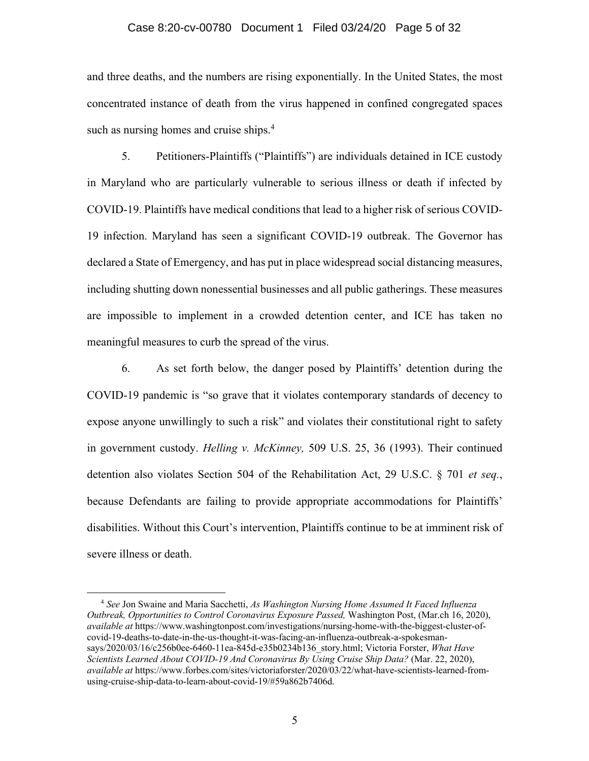#### Case 8:20-cv-00780 Document 1 Filed 03/24/20 Page 5 of 32

and three deaths, and the numbers are rising exponentially. In the United States, the most concentrated instance of death from the virus happened in confined congregated spaces such as nursing homes and cruise ships.<sup>4</sup>

5. Petitioners-Plaintiffs ("Plaintiffs") are individuals detained in ICE custody in Maryland who are particularly vulnerable to serious illness or death if infected by COVID-19. Plaintiffs have medical conditions that lead to a higher risk of serious COVID-19 infection. Maryland has seen a significant COVID-19 outbreak. The Governor has declared a State of Emergency, and has put in place widespread social distancing measures, including shutting down nonessential businesses and all public gatherings. These measures are impossible to implement in a crowded detention center, and ICE has taken no meaningful measures to curb the spread of the virus.

6. As set forth below, the danger posed by Plaintiffs' detention during the COVID-19 pandemic is "so grave that it violates contemporary standards of decency to expose anyone unwillingly to such a risk" and violates their constitutional right to safety in government custody. *Helling v. McKinney,* 509 U.S. 25, 36 (1993). Their continued detention also violates Section 504 of the Rehabilitation Act, 29 U.S.C. § 701 *et seq.*, because Defendants are failing to provide appropriate accommodations for Plaintiffs' disabilities. Without this Court's intervention, Plaintiffs continue to be at imminent risk of severe illness or death.

<sup>4</sup> *See* Jon Swaine and Maria Sacchetti, *As Washington Nursing Home Assumed It Faced Influenza Outbreak, Opportunities to Control Coronavirus Exposure Passed,* Washington Post, (Mar.ch 16, 2020), *available at* https://www.washingtonpost.com/investigations/nursing-home-with-the-biggest-cluster-ofcovid-19-deaths-to-date-in-the-us-thought-it-was-facing-an-influenza-outbreak-a-spokesmansays/2020/03/16/c256b0ee-6460-11ea-845d-e35b0234b136\_story.html; Victoria Forster, *What Have Scientists Learned About COVID-19 And Coronavirus By Using Cruise Ship Data?* (Mar. 22, 2020), *available at* https://www.forbes.com/sites/victoriaforster/2020/03/22/what-have-scientists-learned-fromusing-cruise-ship-data-to-learn-about-covid-19/#59a862b7406d.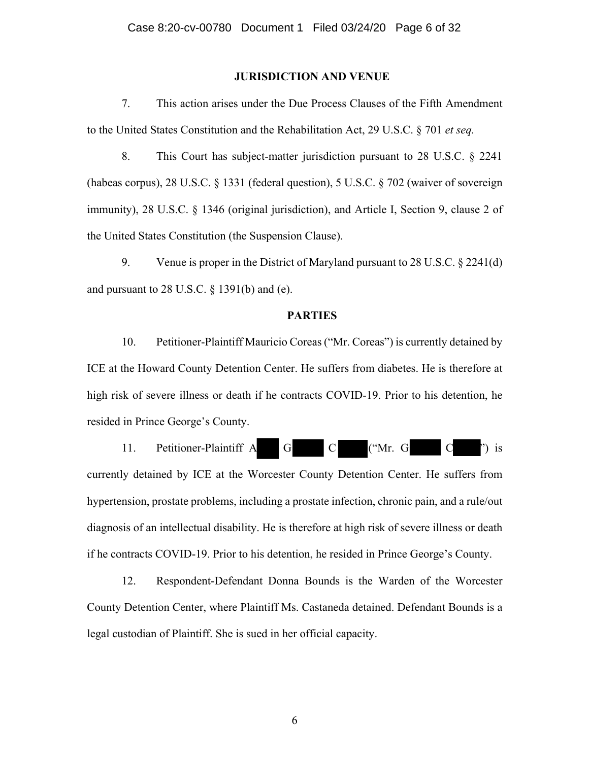#### **JURISDICTION AND VENUE**

7. This action arises under the Due Process Clauses of the Fifth Amendment to the United States Constitution and the Rehabilitation Act, 29 U.S.C. § 701 *et seq.* 

8. This Court has subject-matter jurisdiction pursuant to 28 U.S.C. § 2241 (habeas corpus), 28 U.S.C. § 1331 (federal question), 5 U.S.C. § 702 (waiver of sovereign immunity), 28 U.S.C. § 1346 (original jurisdiction), and Article I, Section 9, clause 2 of the United States Constitution (the Suspension Clause).

9. Venue is proper in the District of Maryland pursuant to 28 U.S.C. § 2241(d) and pursuant to 28 U.S.C. § 1391(b) and (e).

#### **PARTIES**

10. Petitioner-Plaintiff Mauricio Coreas ("Mr. Coreas") is currently detained by ICE at the Howard County Detention Center. He suffers from diabetes. He is therefore at high risk of severe illness or death if he contracts COVID-19. Prior to his detention, he resided in Prince George's County.



currently detained by ICE at the Worcester County Detention Center. He suffers from hypertension, prostate problems, including a prostate infection, chronic pain, and a rule/out diagnosis of an intellectual disability. He is therefore at high risk of severe illness or death if he contracts COVID-19. Prior to his detention, he resided in Prince George's County.

12. Respondent-Defendant Donna Bounds is the Warden of the Worcester County Detention Center, where Plaintiff Ms. Castaneda detained. Defendant Bounds is a legal custodian of Plaintiff. She is sued in her official capacity.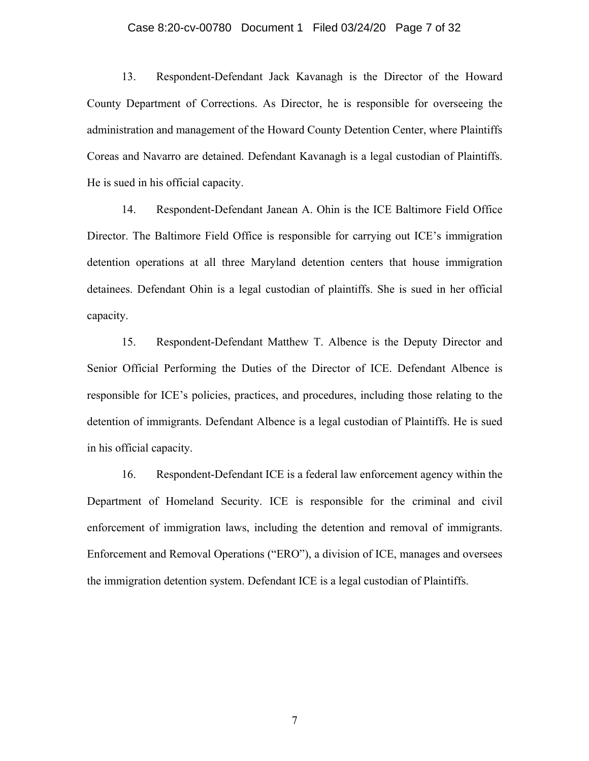#### Case 8:20-cv-00780 Document 1 Filed 03/24/20 Page 7 of 32

13. Respondent-Defendant Jack Kavanagh is the Director of the Howard County Department of Corrections. As Director, he is responsible for overseeing the administration and management of the Howard County Detention Center, where Plaintiffs Coreas and Navarro are detained. Defendant Kavanagh is a legal custodian of Plaintiffs. He is sued in his official capacity.

14. Respondent-Defendant Janean A. Ohin is the ICE Baltimore Field Office Director. The Baltimore Field Office is responsible for carrying out ICE's immigration detention operations at all three Maryland detention centers that house immigration detainees. Defendant Ohin is a legal custodian of plaintiffs. She is sued in her official capacity.

15. Respondent-Defendant Matthew T. Albence is the Deputy Director and Senior Official Performing the Duties of the Director of ICE. Defendant Albence is responsible for ICE's policies, practices, and procedures, including those relating to the detention of immigrants. Defendant Albence is a legal custodian of Plaintiffs. He is sued in his official capacity.

16. Respondent-Defendant ICE is a federal law enforcement agency within the Department of Homeland Security. ICE is responsible for the criminal and civil enforcement of immigration laws, including the detention and removal of immigrants. Enforcement and Removal Operations ("ERO"), a division of ICE, manages and oversees the immigration detention system. Defendant ICE is a legal custodian of Plaintiffs.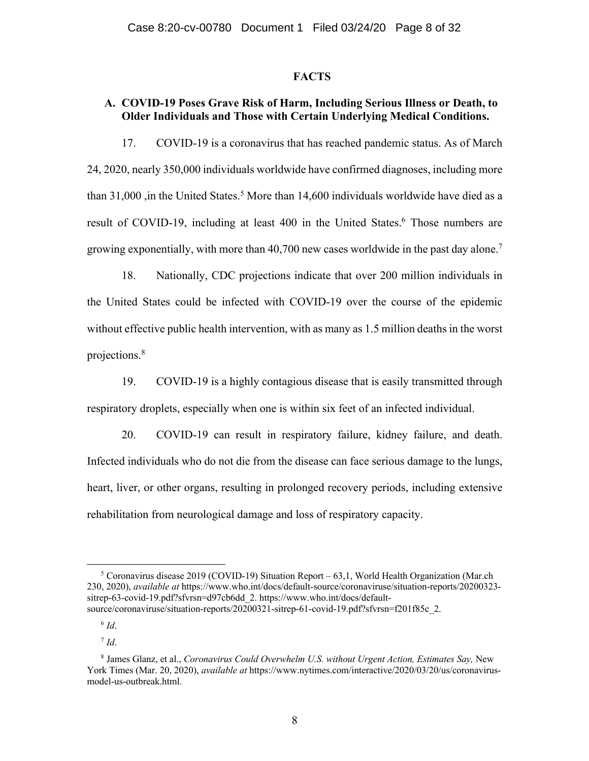#### **FACTS**

# **A. COVID-19 Poses Grave Risk of Harm, Including Serious Illness or Death, to Older Individuals and Those with Certain Underlying Medical Conditions.**

17. COVID-19 is a coronavirus that has reached pandemic status. As of March 24, 2020, nearly 350,000 individuals worldwide have confirmed diagnoses, including more than  $31,000$ , in the United States.<sup>5</sup> More than  $14,600$  individuals worldwide have died as a result of COVID-19, including at least 400 in the United States.<sup>6</sup> Those numbers are growing exponentially, with more than 40,700 new cases worldwide in the past day alone.<sup>7</sup>

18. Nationally, CDC projections indicate that over 200 million individuals in the United States could be infected with COVID-19 over the course of the epidemic without effective public health intervention, with as many as 1.5 million deaths in the worst projections.8

19. COVID-19 is a highly contagious disease that is easily transmitted through respiratory droplets, especially when one is within six feet of an infected individual.

20. COVID-19 can result in respiratory failure, kidney failure, and death. Infected individuals who do not die from the disease can face serious damage to the lungs, heart, liver, or other organs, resulting in prolonged recovery periods, including extensive rehabilitation from neurological damage and loss of respiratory capacity.

<sup>&</sup>lt;sup>5</sup> Coronavirus disease 2019 (COVID-19) Situation Report – 63,1, World Health Organization (Mar.ch 230, 2020), *available at* https://www.who.int/docs/default-source/coronaviruse/situation-reports/20200323 sitrep-63-covid-19.pdf?sfvrsn=d97cb6dd\_2. https://www.who.int/docs/defaultsource/coronaviruse/situation-reports/20200321-sitrep-61-covid-19.pdf?sfvrsn=f201f85c\_2.

 $6$   $Id.$ 

 $^7$  *Id.* 

<sup>8</sup> James Glanz, et al., *Coronavirus Could Overwhelm U.S. without Urgent Action, Estimates Say,* New York Times (Mar. 20, 2020), *available at* https://www.nytimes.com/interactive/2020/03/20/us/coronavirusmodel-us-outbreak.html.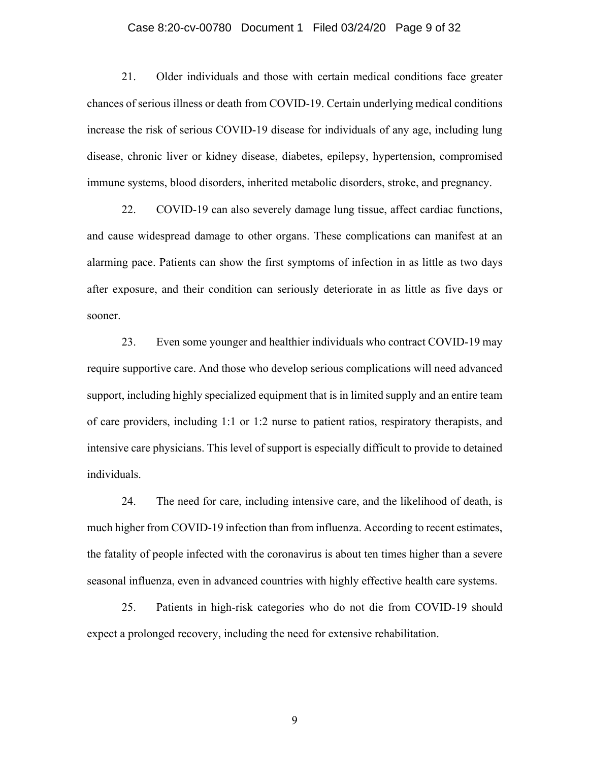#### Case 8:20-cv-00780 Document 1 Filed 03/24/20 Page 9 of 32

21. Older individuals and those with certain medical conditions face greater chances of serious illness or death from COVID-19. Certain underlying medical conditions increase the risk of serious COVID-19 disease for individuals of any age, including lung disease, chronic liver or kidney disease, diabetes, epilepsy, hypertension, compromised immune systems, blood disorders, inherited metabolic disorders, stroke, and pregnancy.

22. COVID-19 can also severely damage lung tissue, affect cardiac functions, and cause widespread damage to other organs. These complications can manifest at an alarming pace. Patients can show the first symptoms of infection in as little as two days after exposure, and their condition can seriously deteriorate in as little as five days or sooner.

23. Even some younger and healthier individuals who contract COVID-19 may require supportive care. And those who develop serious complications will need advanced support, including highly specialized equipment that is in limited supply and an entire team of care providers, including 1:1 or 1:2 nurse to patient ratios, respiratory therapists, and intensive care physicians. This level of support is especially difficult to provide to detained individuals.

24. The need for care, including intensive care, and the likelihood of death, is much higher from COVID-19 infection than from influenza. According to recent estimates, the fatality of people infected with the coronavirus is about ten times higher than a severe seasonal influenza, even in advanced countries with highly effective health care systems.

25. Patients in high-risk categories who do not die from COVID-19 should expect a prolonged recovery, including the need for extensive rehabilitation.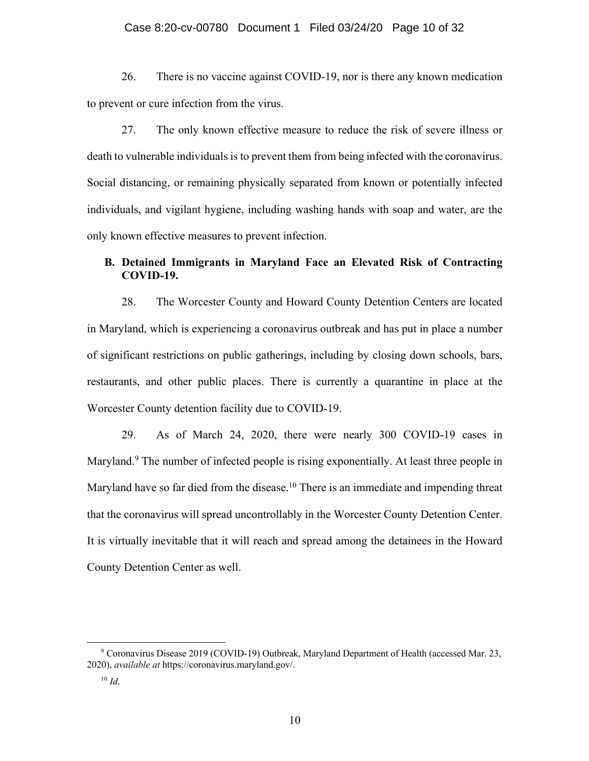#### Case 8:20-cv-00780 Document 1 Filed 03/24/20 Page 10 of 32

26. There is no vaccine against COVID-19, nor is there any known medication to prevent or cure infection from the virus.

27. The only known effective measure to reduce the risk of severe illness or death to vulnerable individuals is to prevent them from being infected with the coronavirus. Social distancing, or remaining physically separated from known or potentially infected individuals, and vigilant hygiene, including washing hands with soap and water, are the only known effective measures to prevent infection.

# **B. Detained Immigrants in Maryland Face an Elevated Risk of Contracting COVID-19.**

28. The Worcester County and Howard County Detention Centers are located in Maryland, which is experiencing a coronavirus outbreak and has put in place a number of significant restrictions on public gatherings, including by closing down schools, bars, restaurants, and other public places. There is currently a quarantine in place at the Worcester County detention facility due to COVID-19.

29. As of March 24, 2020, there were nearly 300 COVID-19 cases in Maryland.<sup>9</sup> The number of infected people is rising exponentially. At least three people in Maryland have so far died from the disease.<sup>10</sup> There is an immediate and impending threat that the coronavirus will spread uncontrollably in the Worcester County Detention Center. It is virtually inevitable that it will reach and spread among the detainees in the Howard County Detention Center as well.

<sup>9</sup> Coronavirus Disease 2019 (COVID-19) Outbreak, Maryland Department of Health (accessed Mar. 23, 2020), *available at* https://coronavirus.maryland.gov/.

 $10$  *Id.*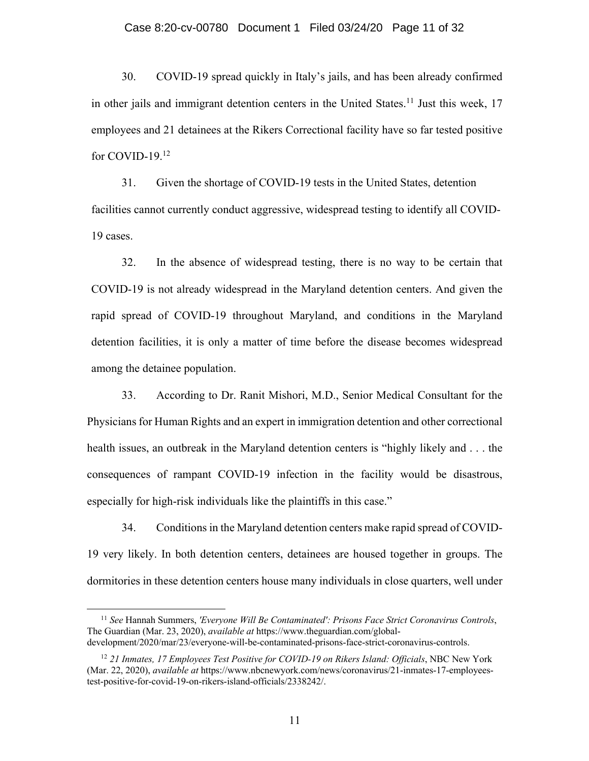#### Case 8:20-cv-00780 Document 1 Filed 03/24/20 Page 11 of 32

30. COVID-19 spread quickly in Italy's jails, and has been already confirmed in other jails and immigrant detention centers in the United States.<sup>11</sup> Just this week, 17 employees and 21 detainees at the Rikers Correctional facility have so far tested positive for COVID-19.12

31. Given the shortage of COVID-19 tests in the United States, detention facilities cannot currently conduct aggressive, widespread testing to identify all COVID-19 cases.

32. In the absence of widespread testing, there is no way to be certain that COVID-19 is not already widespread in the Maryland detention centers. And given the rapid spread of COVID-19 throughout Maryland, and conditions in the Maryland detention facilities, it is only a matter of time before the disease becomes widespread among the detainee population.

33. According to Dr. Ranit Mishori, M.D., Senior Medical Consultant for the Physicians for Human Rights and an expert in immigration detention and other correctional health issues, an outbreak in the Maryland detention centers is "highly likely and . . . the consequences of rampant COVID-19 infection in the facility would be disastrous, especially for high-risk individuals like the plaintiffs in this case."

34. Conditions in the Maryland detention centers make rapid spread of COVID-19 very likely. In both detention centers, detainees are housed together in groups. The dormitories in these detention centers house many individuals in close quarters, well under

<sup>11</sup> *See* Hannah Summers, *'Everyone Will Be Contaminated': Prisons Face Strict Coronavirus Controls*, The Guardian (Mar. 23, 2020), *available at* https://www.theguardian.com/globaldevelopment/2020/mar/23/everyone-will-be-contaminated-prisons-face-strict-coronavirus-controls.

<sup>&</sup>lt;sup>12</sup> 21 Inmates, 17 Employees Test Positive for COVID-19 on Rikers Island: Officials, NBC New York (Mar. 22, 2020), *available at* https://www.nbcnewyork.com/news/coronavirus/21-inmates-17-employeestest-positive-for-covid-19-on-rikers-island-officials/2338242/.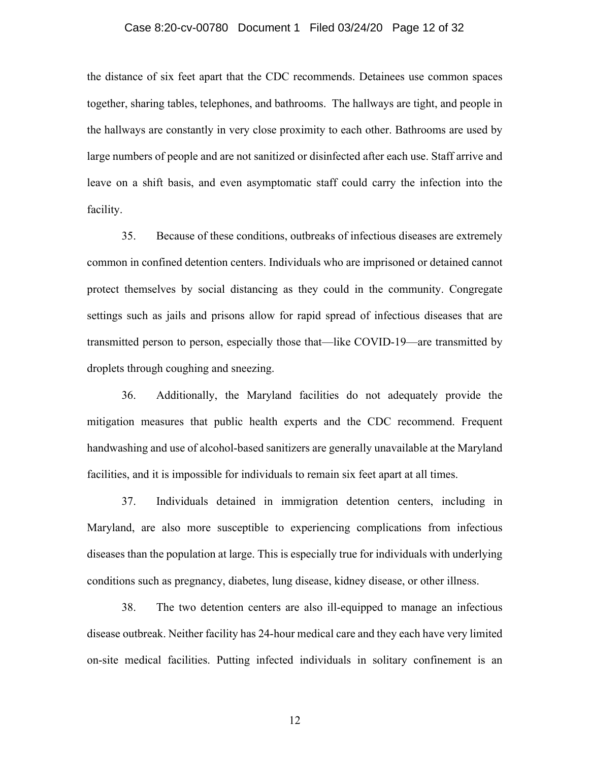#### Case 8:20-cv-00780 Document 1 Filed 03/24/20 Page 12 of 32

the distance of six feet apart that the CDC recommends. Detainees use common spaces together, sharing tables, telephones, and bathrooms. The hallways are tight, and people in the hallways are constantly in very close proximity to each other. Bathrooms are used by large numbers of people and are not sanitized or disinfected after each use. Staff arrive and leave on a shift basis, and even asymptomatic staff could carry the infection into the facility.

35. Because of these conditions, outbreaks of infectious diseases are extremely common in confined detention centers. Individuals who are imprisoned or detained cannot protect themselves by social distancing as they could in the community. Congregate settings such as jails and prisons allow for rapid spread of infectious diseases that are transmitted person to person, especially those that—like COVID-19—are transmitted by droplets through coughing and sneezing.

36. Additionally, the Maryland facilities do not adequately provide the mitigation measures that public health experts and the CDC recommend. Frequent handwashing and use of alcohol-based sanitizers are generally unavailable at the Maryland facilities, and it is impossible for individuals to remain six feet apart at all times.

37. Individuals detained in immigration detention centers, including in Maryland, are also more susceptible to experiencing complications from infectious diseases than the population at large. This is especially true for individuals with underlying conditions such as pregnancy, diabetes, lung disease, kidney disease, or other illness.

38. The two detention centers are also ill-equipped to manage an infectious disease outbreak. Neither facility has 24-hour medical care and they each have very limited on-site medical facilities. Putting infected individuals in solitary confinement is an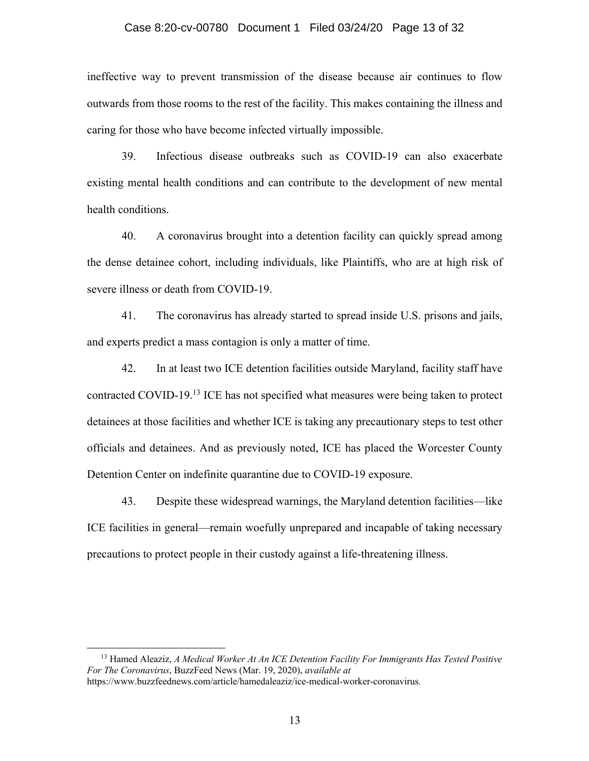#### Case 8:20-cv-00780 Document 1 Filed 03/24/20 Page 13 of 32

ineffective way to prevent transmission of the disease because air continues to flow outwards from those rooms to the rest of the facility. This makes containing the illness and caring for those who have become infected virtually impossible.

39. Infectious disease outbreaks such as COVID-19 can also exacerbate existing mental health conditions and can contribute to the development of new mental health conditions.

40. A coronavirus brought into a detention facility can quickly spread among the dense detainee cohort, including individuals, like Plaintiffs, who are at high risk of severe illness or death from COVID-19.

41. The coronavirus has already started to spread inside U.S. prisons and jails, and experts predict a mass contagion is only a matter of time.

42. In at least two ICE detention facilities outside Maryland, facility staff have contracted COVID-19.13 ICE has not specified what measures were being taken to protect detainees at those facilities and whether ICE is taking any precautionary steps to test other officials and detainees. And as previously noted, ICE has placed the Worcester County Detention Center on indefinite quarantine due to COVID-19 exposure.

43. Despite these widespread warnings, the Maryland detention facilities—like ICE facilities in general—remain woefully unprepared and incapable of taking necessary precautions to protect people in their custody against a life-threatening illness.

<sup>13</sup> Hamed Aleaziz, *A Medical Worker At An ICE Detention Facility For Immigrants Has Tested Positive For The Coronavirus*, BuzzFeed News (Mar. 19, 2020), *available at*  https://www.buzzfeednews.com/article/hamedaleaziz/ice-medical-worker-coronavirus*.*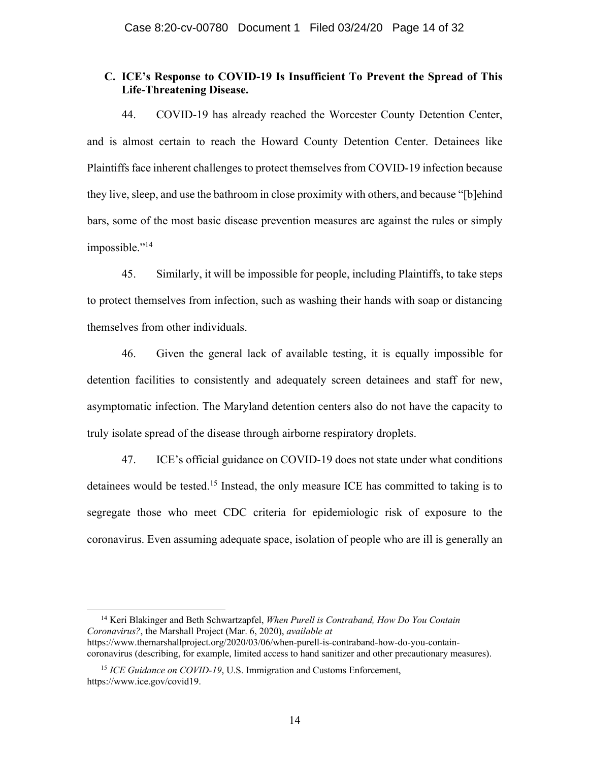## **C. ICE's Response to COVID-19 Is Insufficient To Prevent the Spread of This Life-Threatening Disease.**

44. COVID-19 has already reached the Worcester County Detention Center, and is almost certain to reach the Howard County Detention Center. Detainees like Plaintiffs face inherent challenges to protect themselves from COVID-19 infection because they live, sleep, and use the bathroom in close proximity with others, and because "[b]ehind bars, some of the most basic disease prevention measures are against the rules or simply impossible."<sup>14</sup>

45. Similarly, it will be impossible for people, including Plaintiffs, to take steps to protect themselves from infection, such as washing their hands with soap or distancing themselves from other individuals.

46. Given the general lack of available testing, it is equally impossible for detention facilities to consistently and adequately screen detainees and staff for new, asymptomatic infection. The Maryland detention centers also do not have the capacity to truly isolate spread of the disease through airborne respiratory droplets.

47. ICE's official guidance on COVID-19 does not state under what conditions detainees would be tested.<sup>15</sup> Instead, the only measure ICE has committed to taking is to segregate those who meet CDC criteria for epidemiologic risk of exposure to the coronavirus. Even assuming adequate space, isolation of people who are ill is generally an

<sup>14</sup> Keri Blakinger and Beth Schwartzapfel, *When Purell is Contraband, How Do You Contain Coronavirus?*, the Marshall Project (Mar. 6, 2020), *available at*

https://www.themarshallproject.org/2020/03/06/when-purell-is-contraband-how-do-you-containcoronavirus (describing, for example, limited access to hand sanitizer and other precautionary measures).

<sup>&</sup>lt;sup>15</sup> *ICE Guidance on COVID-19*, U.S. Immigration and Customs Enforcement, https://www.ice.gov/covid19.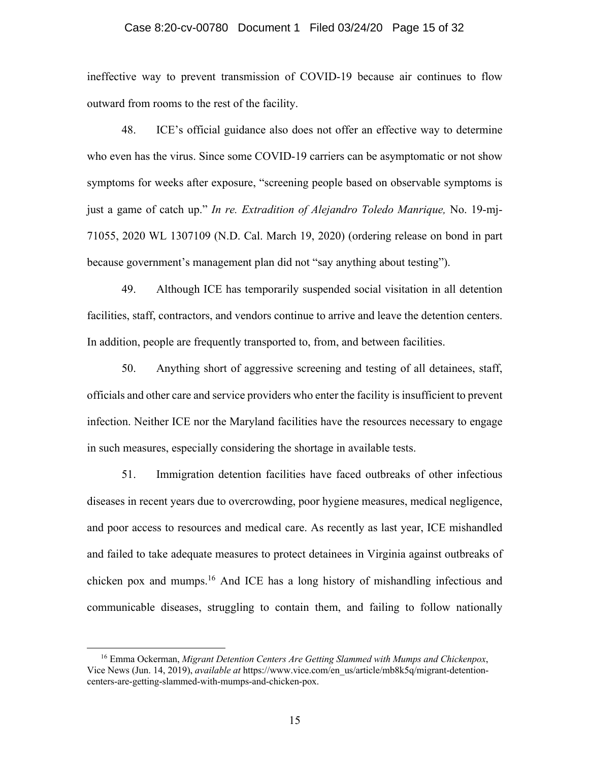#### Case 8:20-cv-00780 Document 1 Filed 03/24/20 Page 15 of 32

ineffective way to prevent transmission of COVID-19 because air continues to flow outward from rooms to the rest of the facility.

48. ICE's official guidance also does not offer an effective way to determine who even has the virus. Since some COVID-19 carriers can be asymptomatic or not show symptoms for weeks after exposure, "screening people based on observable symptoms is just a game of catch up." *In re. Extradition of Alejandro Toledo Manrique,* No. 19-mj-71055, 2020 WL 1307109 (N.D. Cal. March 19, 2020) (ordering release on bond in part because government's management plan did not "say anything about testing").

49. Although ICE has temporarily suspended social visitation in all detention facilities, staff, contractors, and vendors continue to arrive and leave the detention centers. In addition, people are frequently transported to, from, and between facilities.

50. Anything short of aggressive screening and testing of all detainees, staff, officials and other care and service providers who enter the facility is insufficient to prevent infection. Neither ICE nor the Maryland facilities have the resources necessary to engage in such measures, especially considering the shortage in available tests.

51. Immigration detention facilities have faced outbreaks of other infectious diseases in recent years due to overcrowding, poor hygiene measures, medical negligence, and poor access to resources and medical care. As recently as last year, ICE mishandled and failed to take adequate measures to protect detainees in Virginia against outbreaks of chicken pox and mumps.16 And ICE has a long history of mishandling infectious and communicable diseases, struggling to contain them, and failing to follow nationally

<sup>16</sup> Emma Ockerman, *Migrant Detention Centers Are Getting Slammed with Mumps and Chickenpox*, Vice News (Jun. 14, 2019), *available at* https://www.vice.com/en\_us/article/mb8k5q/migrant-detentioncenters-are-getting-slammed-with-mumps-and-chicken-pox.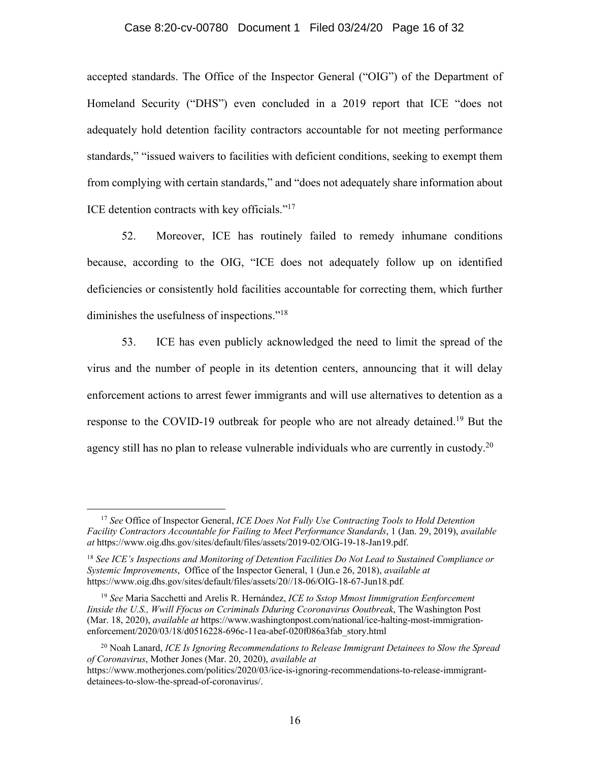#### Case 8:20-cv-00780 Document 1 Filed 03/24/20 Page 16 of 32

accepted standards. The Office of the Inspector General ("OIG") of the Department of Homeland Security ("DHS") even concluded in a 2019 report that ICE "does not adequately hold detention facility contractors accountable for not meeting performance standards," "issued waivers to facilities with deficient conditions, seeking to exempt them from complying with certain standards," and "does not adequately share information about ICE detention contracts with key officials."17

52. Moreover, ICE has routinely failed to remedy inhumane conditions because, according to the OIG, "ICE does not adequately follow up on identified deficiencies or consistently hold facilities accountable for correcting them, which further diminishes the usefulness of inspections."18

53. ICE has even publicly acknowledged the need to limit the spread of the virus and the number of people in its detention centers, announcing that it will delay enforcement actions to arrest fewer immigrants and will use alternatives to detention as a response to the COVID-19 outbreak for people who are not already detained.<sup>19</sup> But the agency still has no plan to release vulnerable individuals who are currently in custody.<sup>20</sup>

<sup>17</sup> *See* Office of Inspector General, *ICE Does Not Fully Use Contracting Tools to Hold Detention Facility Contractors Accountable for Failing to Meet Performance Standards*, 1 (Jan. 29, 2019), *available at* https://www.oig.dhs.gov/sites/default/files/assets/2019-02/OIG-19-18-Jan19.pdf.

<sup>18</sup> *See ICE's Inspections and Monitoring of Detention Facilities Do Not Lead to Sustained Compliance or Systemic Improvements*, Office of the Inspector General, 1 (Jun.e 26, 2018), *available at*  https://www.oig.dhs.gov/sites/default/files/assets/20//18-06/OIG-18-67-Jun18.pdf*.*

<sup>19</sup> *See* Maria Sacchetti and Arelis R. Hernández, *ICE to Sstop Mmost Iimmigration Eenforcement Iinside the U.S., Wwill Ffocus on Ccriminals Dduring Ccoronavirus Ooutbreak*, The Washington Post (Mar. 18, 2020), *available at* https://www.washingtonpost.com/national/ice-halting-most-immigrationenforcement/2020/03/18/d0516228-696c-11ea-abef-020f086a3fab\_story.html

<sup>20</sup> Noah Lanard, *ICE Is Ignoring Recommendations to Release Immigrant Detainees to Slow the Spread of Coronavirus*, Mother Jones (Mar. 20, 2020), *available at*  https://www.motherjones.com/politics/2020/03/ice-is-ignoring-recommendations-to-release-immigrant-

detainees-to-slow-the-spread-of-coronavirus/.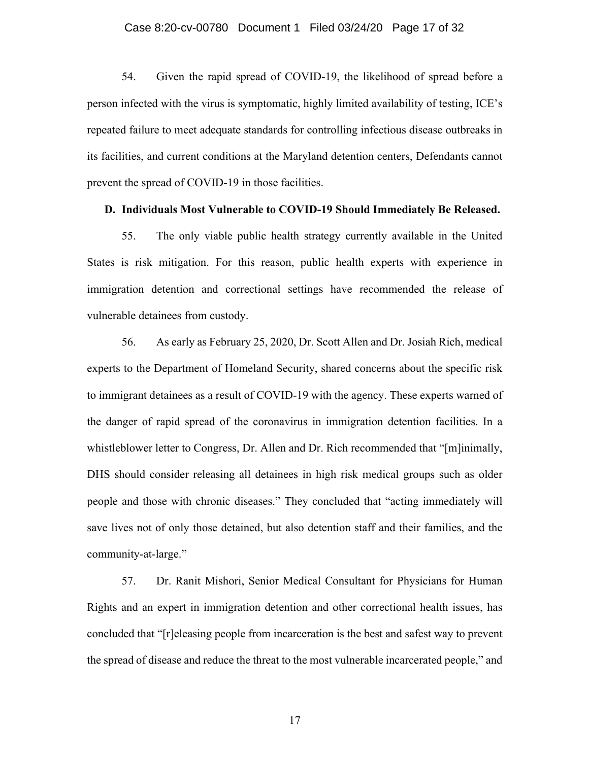#### Case 8:20-cv-00780 Document 1 Filed 03/24/20 Page 17 of 32

54. Given the rapid spread of COVID-19, the likelihood of spread before a person infected with the virus is symptomatic, highly limited availability of testing, ICE's repeated failure to meet adequate standards for controlling infectious disease outbreaks in its facilities, and current conditions at the Maryland detention centers, Defendants cannot prevent the spread of COVID-19 in those facilities.

#### **D. Individuals Most Vulnerable to COVID-19 Should Immediately Be Released.**

55. The only viable public health strategy currently available in the United States is risk mitigation. For this reason, public health experts with experience in immigration detention and correctional settings have recommended the release of vulnerable detainees from custody.

56. As early as February 25, 2020, Dr. Scott Allen and Dr. Josiah Rich, medical experts to the Department of Homeland Security, shared concerns about the specific risk to immigrant detainees as a result of COVID-19 with the agency. These experts warned of the danger of rapid spread of the coronavirus in immigration detention facilities. In a whistleblower letter to Congress, Dr. Allen and Dr. Rich recommended that "[m]inimally, DHS should consider releasing all detainees in high risk medical groups such as older people and those with chronic diseases." They concluded that "acting immediately will save lives not of only those detained, but also detention staff and their families, and the community-at-large."

57. Dr. Ranit Mishori, Senior Medical Consultant for Physicians for Human Rights and an expert in immigration detention and other correctional health issues, has concluded that "[r]eleasing people from incarceration is the best and safest way to prevent the spread of disease and reduce the threat to the most vulnerable incarcerated people," and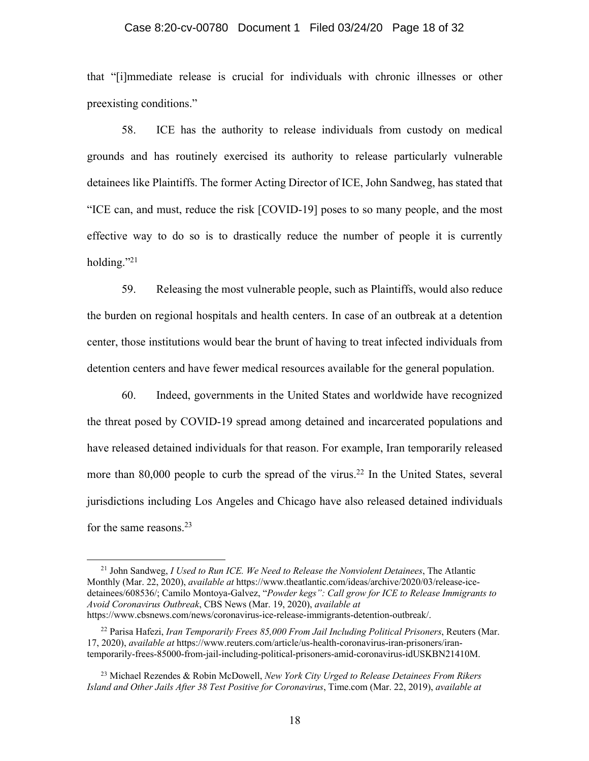#### Case 8:20-cv-00780 Document 1 Filed 03/24/20 Page 18 of 32

that "[i]mmediate release is crucial for individuals with chronic illnesses or other preexisting conditions."

58. ICE has the authority to release individuals from custody on medical grounds and has routinely exercised its authority to release particularly vulnerable detainees like Plaintiffs. The former Acting Director of ICE, John Sandweg, has stated that "ICE can, and must, reduce the risk [COVID-19] poses to so many people, and the most effective way to do so is to drastically reduce the number of people it is currently holding."<sup>21</sup>

59. Releasing the most vulnerable people, such as Plaintiffs, would also reduce the burden on regional hospitals and health centers. In case of an outbreak at a detention center, those institutions would bear the brunt of having to treat infected individuals from detention centers and have fewer medical resources available for the general population.

60. Indeed, governments in the United States and worldwide have recognized the threat posed by COVID-19 spread among detained and incarcerated populations and have released detained individuals for that reason. For example, Iran temporarily released more than 80,000 people to curb the spread of the virus.<sup>22</sup> In the United States, several jurisdictions including Los Angeles and Chicago have also released detained individuals for the same reasons.23

<sup>21</sup> John Sandweg, *I Used to Run ICE. We Need to Release the Nonviolent Detainees*, The Atlantic Monthly (Mar. 22, 2020), *available at* https://www.theatlantic.com/ideas/archive/2020/03/release-icedetainees/608536/; Camilo Montoya-Galvez, "*Powder kegs": Call grow for ICE to Release Immigrants to Avoid Coronavirus Outbreak*, CBS News (Mar. 19, 2020), *available at* https://www.cbsnews.com/news/coronavirus-ice-release-immigrants-detention-outbreak/.

<sup>22</sup> Parisa Hafezi, *Iran Temporarily Frees 85,000 From Jail Including Political Prisoners*, Reuters (Mar. 17, 2020), *available at* https://www.reuters.com/article/us-health-coronavirus-iran-prisoners/irantemporarily-frees-85000-from-jail-including-political-prisoners-amid-coronavirus-idUSKBN21410M.

<sup>23</sup> Michael Rezendes & Robin McDowell, *New York City Urged to Release Detainees From Rikers Island and Other Jails After 38 Test Positive for Coronavirus*, Time.com (Mar. 22, 2019), *available at*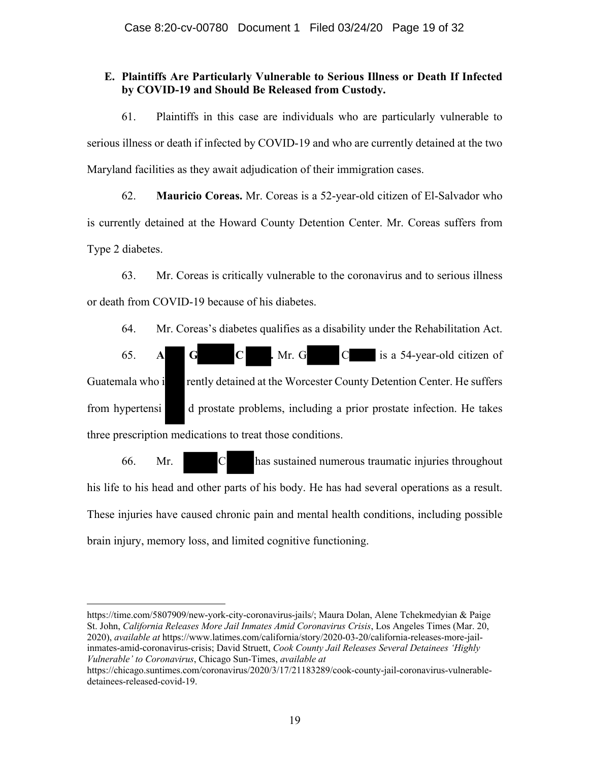# **E. Plaintiffs Are Particularly Vulnerable to Serious Illness or Death If Infected by COVID-19 and Should Be Released from Custody.**

61. Plaintiffs in this case are individuals who are particularly vulnerable to serious illness or death if infected by COVID-19 and who are currently detained at the two Maryland facilities as they await adjudication of their immigration cases.

62. **Mauricio Coreas.** Mr. Coreas is a 52-year-old citizen of El-Salvador who is currently detained at the Howard County Detention Center. Mr. Coreas suffers from Type 2 diabetes.

63. Mr. Coreas is critically vulnerable to the coronavirus and to serious illness or death from COVID-19 because of his diabetes.

64. Mr. Coreas's diabetes qualifies as a disability under the Rehabilitation Act.

65. **A G C .** Mr. G C is a 54-year-old citizen of Guatemala who i rently detained at the Worcester County Detention Center. He suffers from hypertensi d prostate problems, including a prior prostate infection. He takes three prescription medications to treat those conditions.

66. Mr. C has sustained numerous traumatic injuries throughout his life to his head and other parts of his body. He has had several operations as a result. These injuries have caused chronic pain and mental health conditions, including possible brain injury, memory loss, and limited cognitive functioning.

https://time.com/5807909/new-york-city-coronavirus-jails/; Maura Dolan, Alene Tchekmedyian & Paige St. John, *California Releases More Jail Inmates Amid Coronavirus Crisis*, Los Angeles Times (Mar. 20, 2020), *available at* https://www.latimes.com/california/story/2020-03-20/california-releases-more-jailinmates-amid-coronavirus-crisis; David Struett, *Cook County Jail Releases Several Detainees 'Highly Vulnerable' to Coronavirus*, Chicago Sun-Times, *available at* 

https://chicago.suntimes.com/coronavirus/2020/3/17/21183289/cook-county-jail-coronavirus-vulnerabledetainees-released-covid-19.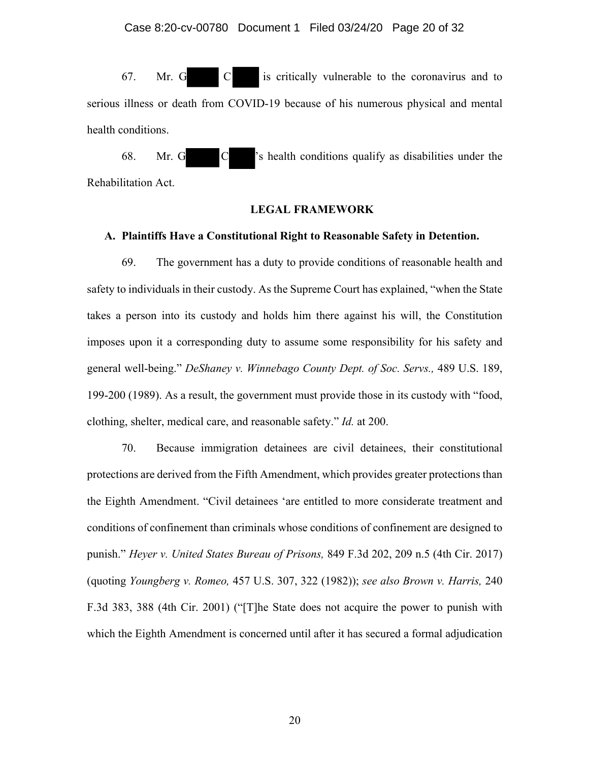67. Mr. G C is critically vulnerable to the coronavirus and to serious illness or death from COVID-19 because of his numerous physical and mental health conditions.

68. Mr. G C 's health conditions qualify as disabilities under the Rehabilitation Act.

#### **LEGAL FRAMEWORK**

#### **A. Plaintiffs Have a Constitutional Right to Reasonable Safety in Detention.**

69. The government has a duty to provide conditions of reasonable health and safety to individuals in their custody. As the Supreme Court has explained, "when the State takes a person into its custody and holds him there against his will, the Constitution imposes upon it a corresponding duty to assume some responsibility for his safety and general well-being." *DeShaney v. Winnebago County Dept. of Soc. Servs.,* 489 U.S. 189, 199-200 (1989). As a result, the government must provide those in its custody with "food, clothing, shelter, medical care, and reasonable safety." *Id.* at 200.

70. Because immigration detainees are civil detainees, their constitutional protections are derived from the Fifth Amendment, which provides greater protections than the Eighth Amendment. "Civil detainees 'are entitled to more considerate treatment and conditions of confinement than criminals whose conditions of confinement are designed to punish." *Heyer v. United States Bureau of Prisons,* 849 F.3d 202, 209 n.5 (4th Cir. 2017) (quoting *Youngberg v. Romeo,* 457 U.S. 307, 322 (1982)); *see also Brown v. Harris,* 240 F.3d 383, 388 (4th Cir. 2001) ("[T]he State does not acquire the power to punish with which the Eighth Amendment is concerned until after it has secured a formal adjudication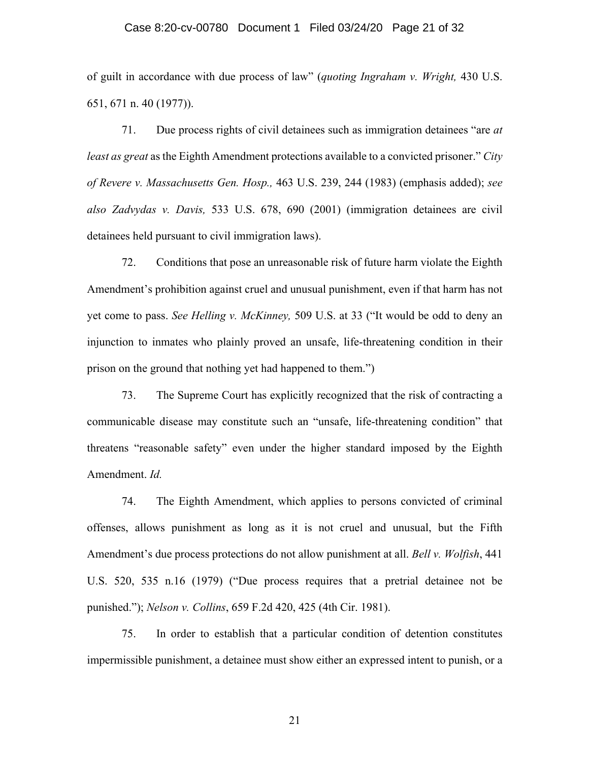#### Case 8:20-cv-00780 Document 1 Filed 03/24/20 Page 21 of 32

of guilt in accordance with due process of law" (*quoting Ingraham v. Wright,* 430 U.S. 651, 671 n. 40 (1977)).

71. Due process rights of civil detainees such as immigration detainees "are *at least as great* as the Eighth Amendment protections available to a convicted prisoner." *City of Revere v. Massachusetts Gen. Hosp.,* 463 U.S. 239, 244 (1983) (emphasis added); *see also Zadvydas v. Davis,* 533 U.S. 678, 690 (2001) (immigration detainees are civil detainees held pursuant to civil immigration laws).

72. Conditions that pose an unreasonable risk of future harm violate the Eighth Amendment's prohibition against cruel and unusual punishment, even if that harm has not yet come to pass. *See Helling v. McKinney,* 509 U.S. at 33 ("It would be odd to deny an injunction to inmates who plainly proved an unsafe, life-threatening condition in their prison on the ground that nothing yet had happened to them.")

73. The Supreme Court has explicitly recognized that the risk of contracting a communicable disease may constitute such an "unsafe, life-threatening condition" that threatens "reasonable safety" even under the higher standard imposed by the Eighth Amendment. *Id.* 

74. The Eighth Amendment, which applies to persons convicted of criminal offenses, allows punishment as long as it is not cruel and unusual, but the Fifth Amendment's due process protections do not allow punishment at all. *Bell v. Wolfish*, 441 U.S. 520, 535 n.16 (1979) ("Due process requires that a pretrial detainee not be punished."); *Nelson v. Collins*, 659 F.2d 420, 425 (4th Cir. 1981).

75. In order to establish that a particular condition of detention constitutes impermissible punishment, a detainee must show either an expressed intent to punish, or a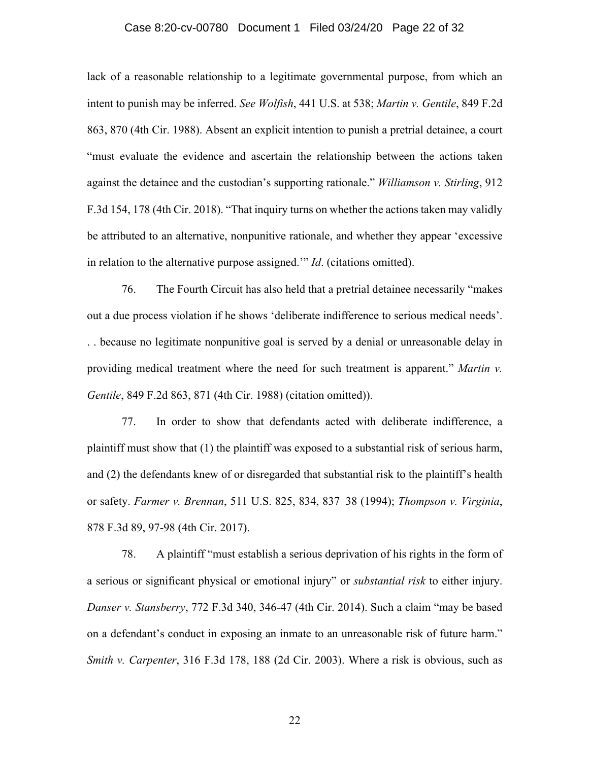#### Case 8:20-cv-00780 Document 1 Filed 03/24/20 Page 22 of 32

lack of a reasonable relationship to a legitimate governmental purpose, from which an intent to punish may be inferred. *See Wolfish*, 441 U.S. at 538; *Martin v. Gentile*, 849 F.2d 863, 870 (4th Cir. 1988). Absent an explicit intention to punish a pretrial detainee, a court "must evaluate the evidence and ascertain the relationship between the actions taken against the detainee and the custodian's supporting rationale." *Williamson v. Stirling*, 912 F.3d 154, 178 (4th Cir. 2018). "That inquiry turns on whether the actions taken may validly be attributed to an alternative, nonpunitive rationale, and whether they appear 'excessive in relation to the alternative purpose assigned.'" *Id*. (citations omitted).

76. The Fourth Circuit has also held that a pretrial detainee necessarily "makes out a due process violation if he shows 'deliberate indifference to serious medical needs'. . . because no legitimate nonpunitive goal is served by a denial or unreasonable delay in providing medical treatment where the need for such treatment is apparent." *Martin v. Gentile*, 849 F.2d 863, 871 (4th Cir. 1988) (citation omitted)).

77. In order to show that defendants acted with deliberate indifference, a plaintiff must show that (1) the plaintiff was exposed to a substantial risk of serious harm, and (2) the defendants knew of or disregarded that substantial risk to the plaintiff's health or safety. *Farmer v. Brennan*, 511 U.S. 825, 834, 837–38 (1994); *Thompson v. Virginia*, 878 F.3d 89, 97-98 (4th Cir. 2017).

78. A plaintiff "must establish a serious deprivation of his rights in the form of a serious or significant physical or emotional injury" or *substantial risk* to either injury. *Danser v. Stansberry*, 772 F.3d 340, 346-47 (4th Cir. 2014). Such a claim "may be based on a defendant's conduct in exposing an inmate to an unreasonable risk of future harm." *Smith v. Carpenter*, 316 F.3d 178, 188 (2d Cir. 2003). Where a risk is obvious, such as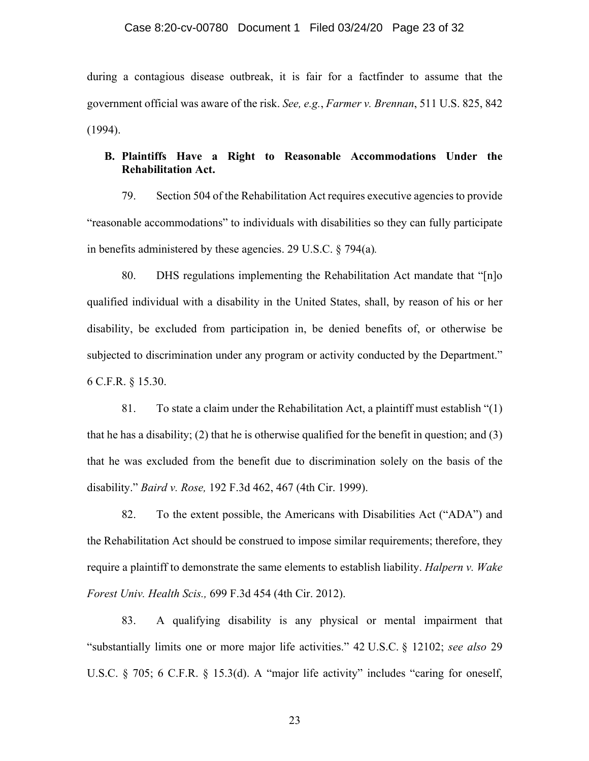during a contagious disease outbreak, it is fair for a factfinder to assume that the government official was aware of the risk. *See, e.g.*, *Farmer v. Brennan*, 511 U.S. 825, 842 (1994).

# **B. Plaintiffs Have a Right to Reasonable Accommodations Under the Rehabilitation Act.**

79. Section 504 of the Rehabilitation Act requires executive agencies to provide "reasonable accommodations" to individuals with disabilities so they can fully participate in benefits administered by these agencies. 29 U.S.C. § 794(a)*.* 

80. DHS regulations implementing the Rehabilitation Act mandate that "[n]o qualified individual with a disability in the United States, shall, by reason of his or her disability, be excluded from participation in, be denied benefits of, or otherwise be subjected to discrimination under any program or activity conducted by the Department." 6 C.F.R. § 15.30.

81. To state a claim under the Rehabilitation Act, a plaintiff must establish "(1) that he has a disability; (2) that he is otherwise qualified for the benefit in question; and (3) that he was excluded from the benefit due to discrimination solely on the basis of the disability." *Baird v. Rose,* 192 F.3d 462, 467 (4th Cir. 1999).

82. To the extent possible, the Americans with Disabilities Act ("ADA") and the Rehabilitation Act should be construed to impose similar requirements; therefore, they require a plaintiff to demonstrate the same elements to establish liability. *Halpern v. Wake Forest Univ. Health Scis.,* 699 F.3d 454 (4th Cir. 2012).

83. A qualifying disability is any physical or mental impairment that "substantially limits one or more major life activities." 42 U.S.C. § 12102; *see also* 29 U.S.C. § 705; 6 C.F.R. § 15.3(d). A "major life activity" includes "caring for oneself,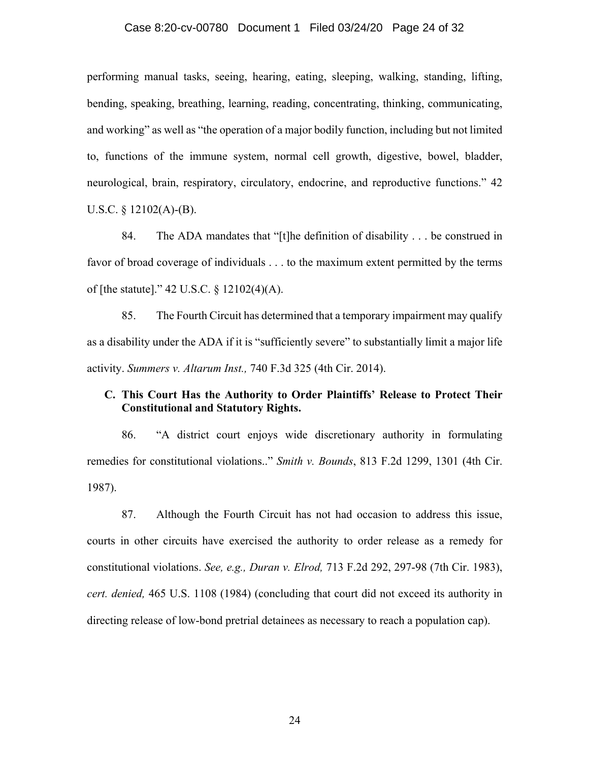#### Case 8:20-cv-00780 Document 1 Filed 03/24/20 Page 24 of 32

performing manual tasks, seeing, hearing, eating, sleeping, walking, standing, lifting, bending, speaking, breathing, learning, reading, concentrating, thinking, communicating, and working" as well as "the operation of a major bodily function, including but not limited to, functions of the immune system, normal cell growth, digestive, bowel, bladder, neurological, brain, respiratory, circulatory, endocrine, and reproductive functions." 42 U.S.C. § 12102(A)-(B).

84. The ADA mandates that "[t]he definition of disability . . . be construed in favor of broad coverage of individuals . . . to the maximum extent permitted by the terms of [the statute]." 42 U.S.C. § 12102(4)(A).

85. The Fourth Circuit has determined that a temporary impairment may qualify as a disability under the ADA if it is "sufficiently severe" to substantially limit a major life activity. *Summers v. Altarum Inst.,* 740 F.3d 325 (4th Cir. 2014).

## **C. This Court Has the Authority to Order Plaintiffs' Release to Protect Their Constitutional and Statutory Rights.**

86. "A district court enjoys wide discretionary authority in formulating remedies for constitutional violations.." *Smith v. Bounds*, 813 F.2d 1299, 1301 (4th Cir. 1987).

87. Although the Fourth Circuit has not had occasion to address this issue, courts in other circuits have exercised the authority to order release as a remedy for constitutional violations. *See, e.g., Duran v. Elrod,* 713 F.2d 292, 297-98 (7th Cir. 1983), *cert. denied,* 465 U.S. 1108 (1984) (concluding that court did not exceed its authority in directing release of low-bond pretrial detainees as necessary to reach a population cap).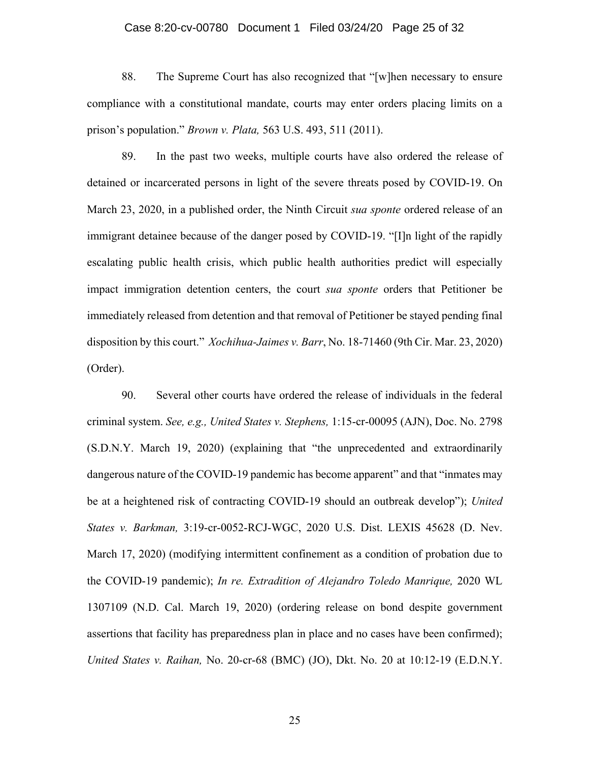#### Case 8:20-cv-00780 Document 1 Filed 03/24/20 Page 25 of 32

88. The Supreme Court has also recognized that "[w]hen necessary to ensure compliance with a constitutional mandate, courts may enter orders placing limits on a prison's population." *Brown v. Plata,* 563 U.S. 493, 511 (2011).

89. In the past two weeks, multiple courts have also ordered the release of detained or incarcerated persons in light of the severe threats posed by COVID-19. On March 23, 2020, in a published order, the Ninth Circuit *sua sponte* ordered release of an immigrant detainee because of the danger posed by COVID-19. "[I]n light of the rapidly escalating public health crisis, which public health authorities predict will especially impact immigration detention centers, the court *sua sponte* orders that Petitioner be immediately released from detention and that removal of Petitioner be stayed pending final disposition by this court." *Xochihua-Jaimes v. Barr*, No. 18-71460 (9th Cir. Mar. 23, 2020) (Order).

90. Several other courts have ordered the release of individuals in the federal criminal system. *See, e.g., United States v. Stephens,* 1:15-cr-00095 (AJN), Doc. No. 2798 (S.D.N.Y. March 19, 2020) (explaining that "the unprecedented and extraordinarily dangerous nature of the COVID-19 pandemic has become apparent" and that "inmates may be at a heightened risk of contracting COVID-19 should an outbreak develop"); *United States v. Barkman,* 3:19-cr-0052-RCJ-WGC, 2020 U.S. Dist. LEXIS 45628 (D. Nev. March 17, 2020) (modifying intermittent confinement as a condition of probation due to the COVID-19 pandemic); *In re. Extradition of Alejandro Toledo Manrique,* 2020 WL 1307109 (N.D. Cal. March 19, 2020) (ordering release on bond despite government assertions that facility has preparedness plan in place and no cases have been confirmed); *United States v. Raihan,* No. 20-cr-68 (BMC) (JO), Dkt. No. 20 at 10:12-19 (E.D.N.Y.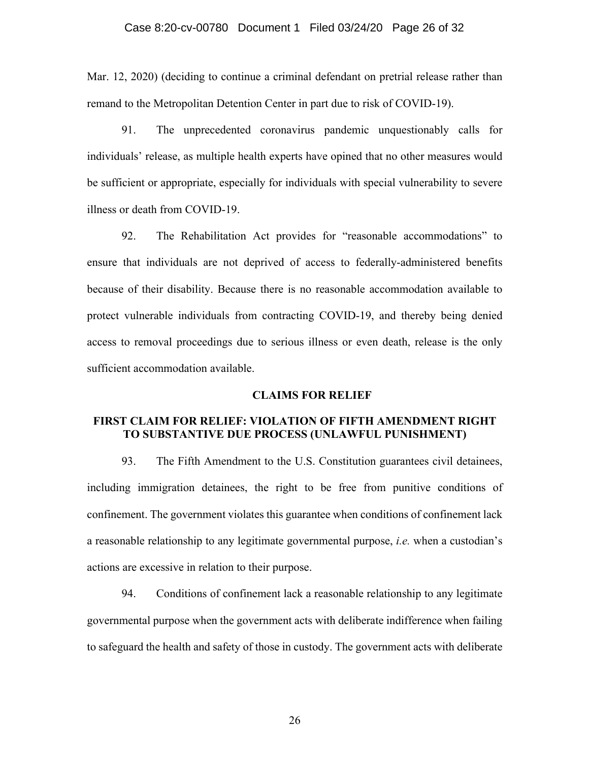Mar. 12, 2020) (deciding to continue a criminal defendant on pretrial release rather than remand to the Metropolitan Detention Center in part due to risk of COVID-19).

91. The unprecedented coronavirus pandemic unquestionably calls for individuals' release, as multiple health experts have opined that no other measures would be sufficient or appropriate, especially for individuals with special vulnerability to severe illness or death from COVID-19.

92. The Rehabilitation Act provides for "reasonable accommodations" to ensure that individuals are not deprived of access to federally-administered benefits because of their disability. Because there is no reasonable accommodation available to protect vulnerable individuals from contracting COVID-19, and thereby being denied access to removal proceedings due to serious illness or even death, release is the only sufficient accommodation available.

#### **CLAIMS FOR RELIEF**

## **FIRST CLAIM FOR RELIEF: VIOLATION OF FIFTH AMENDMENT RIGHT TO SUBSTANTIVE DUE PROCESS (UNLAWFUL PUNISHMENT)**

93. The Fifth Amendment to the U.S. Constitution guarantees civil detainees, including immigration detainees, the right to be free from punitive conditions of confinement. The government violates this guarantee when conditions of confinement lack a reasonable relationship to any legitimate governmental purpose, *i.e.* when a custodian's actions are excessive in relation to their purpose.

94. Conditions of confinement lack a reasonable relationship to any legitimate governmental purpose when the government acts with deliberate indifference when failing to safeguard the health and safety of those in custody. The government acts with deliberate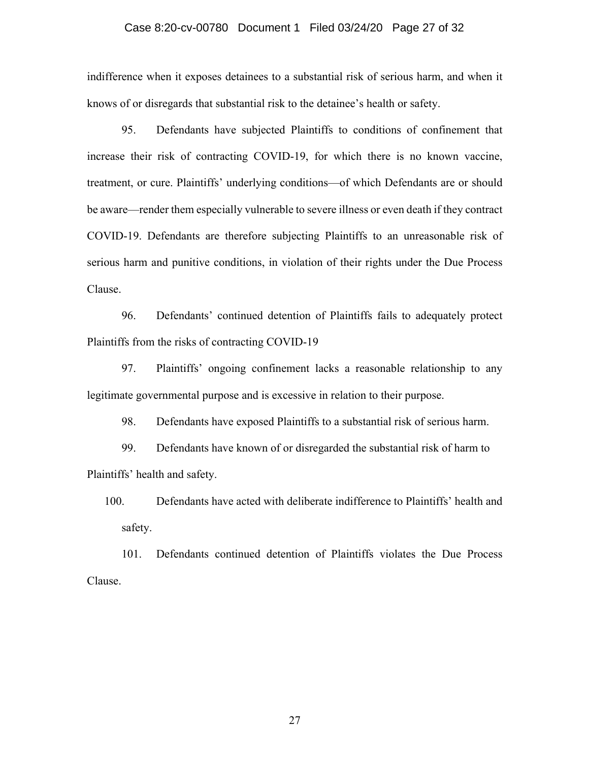#### Case 8:20-cv-00780 Document 1 Filed 03/24/20 Page 27 of 32

indifference when it exposes detainees to a substantial risk of serious harm, and when it knows of or disregards that substantial risk to the detainee's health or safety.

95. Defendants have subjected Plaintiffs to conditions of confinement that increase their risk of contracting COVID-19, for which there is no known vaccine, treatment, or cure. Plaintiffs' underlying conditions—of which Defendants are or should be aware—render them especially vulnerable to severe illness or even death if they contract COVID-19. Defendants are therefore subjecting Plaintiffs to an unreasonable risk of serious harm and punitive conditions, in violation of their rights under the Due Process Clause.

96. Defendants' continued detention of Plaintiffs fails to adequately protect Plaintiffs from the risks of contracting COVID-19

97. Plaintiffs' ongoing confinement lacks a reasonable relationship to any legitimate governmental purpose and is excessive in relation to their purpose.

98. Defendants have exposed Plaintiffs to a substantial risk of serious harm.

99. Defendants have known of or disregarded the substantial risk of harm to Plaintiffs' health and safety.

100. Defendants have acted with deliberate indifference to Plaintiffs' health and safety.

101. Defendants continued detention of Plaintiffs violates the Due Process Clause.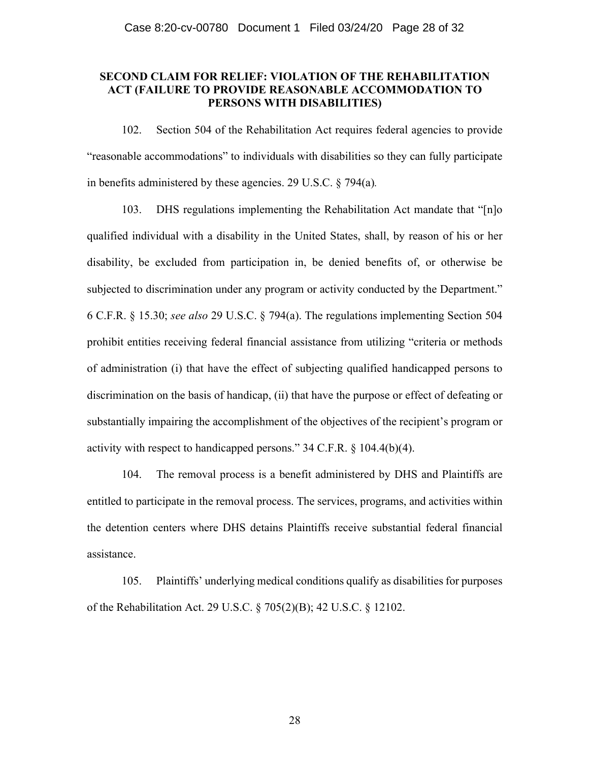## **SECOND CLAIM FOR RELIEF: VIOLATION OF THE REHABILITATION ACT (FAILURE TO PROVIDE REASONABLE ACCOMMODATION TO PERSONS WITH DISABILITIES)**

102. Section 504 of the Rehabilitation Act requires federal agencies to provide "reasonable accommodations" to individuals with disabilities so they can fully participate in benefits administered by these agencies. 29 U.S.C. § 794(a)*.* 

103. DHS regulations implementing the Rehabilitation Act mandate that "[n]o qualified individual with a disability in the United States, shall, by reason of his or her disability, be excluded from participation in, be denied benefits of, or otherwise be subjected to discrimination under any program or activity conducted by the Department." 6 C.F.R. § 15.30; *see also* 29 U.S.C. § 794(a). The regulations implementing Section 504 prohibit entities receiving federal financial assistance from utilizing "criteria or methods of administration (i) that have the effect of subjecting qualified handicapped persons to discrimination on the basis of handicap, (ii) that have the purpose or effect of defeating or substantially impairing the accomplishment of the objectives of the recipient's program or activity with respect to handicapped persons." 34 C.F.R. § 104.4(b)(4).

104. The removal process is a benefit administered by DHS and Plaintiffs are entitled to participate in the removal process. The services, programs, and activities within the detention centers where DHS detains Plaintiffs receive substantial federal financial assistance.

105. Plaintiffs' underlying medical conditions qualify as disabilities for purposes of the Rehabilitation Act. 29 U.S.C. § 705(2)(B); 42 U.S.C. § 12102.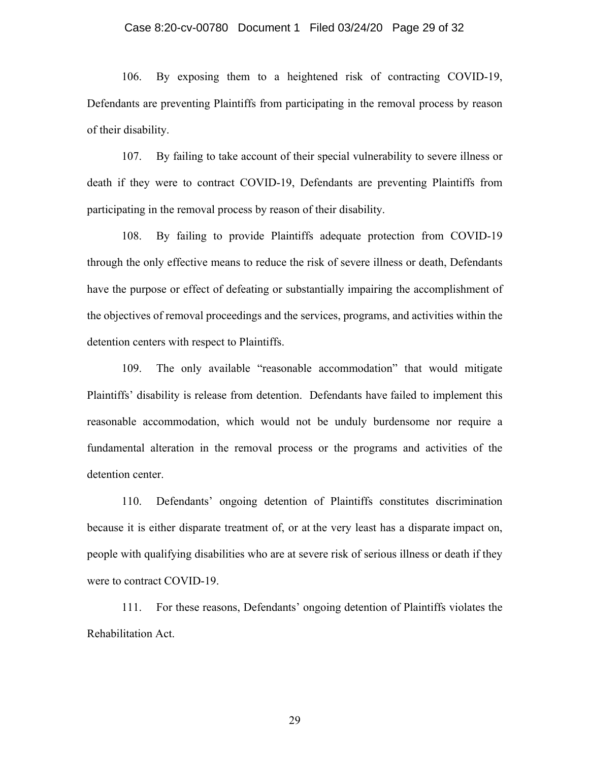#### Case 8:20-cv-00780 Document 1 Filed 03/24/20 Page 29 of 32

106. By exposing them to a heightened risk of contracting COVID-19, Defendants are preventing Plaintiffs from participating in the removal process by reason of their disability.

107. By failing to take account of their special vulnerability to severe illness or death if they were to contract COVID-19, Defendants are preventing Plaintiffs from participating in the removal process by reason of their disability.

108. By failing to provide Plaintiffs adequate protection from COVID-19 through the only effective means to reduce the risk of severe illness or death, Defendants have the purpose or effect of defeating or substantially impairing the accomplishment of the objectives of removal proceedings and the services, programs, and activities within the detention centers with respect to Plaintiffs.

109. The only available "reasonable accommodation" that would mitigate Plaintiffs' disability is release from detention. Defendants have failed to implement this reasonable accommodation, which would not be unduly burdensome nor require a fundamental alteration in the removal process or the programs and activities of the detention center.

110. Defendants' ongoing detention of Plaintiffs constitutes discrimination because it is either disparate treatment of, or at the very least has a disparate impact on, people with qualifying disabilities who are at severe risk of serious illness or death if they were to contract COVID-19.

111. For these reasons, Defendants' ongoing detention of Plaintiffs violates the Rehabilitation Act.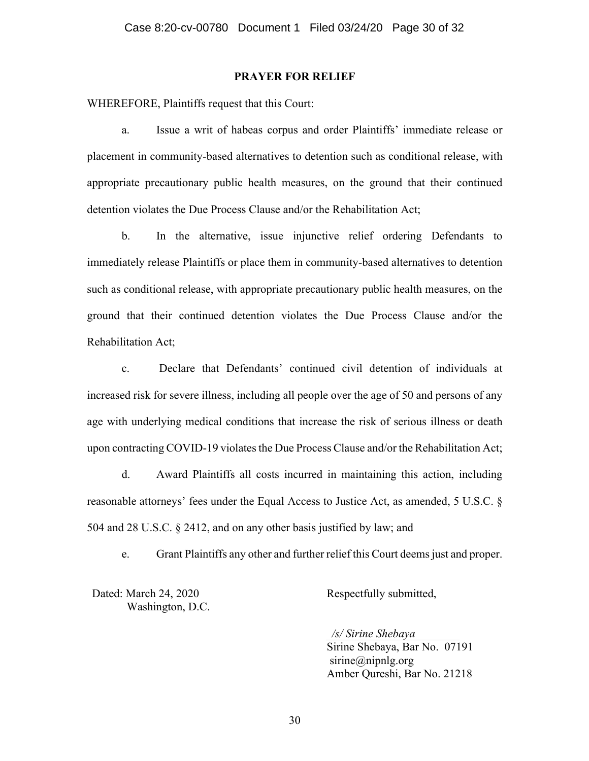#### **PRAYER FOR RELIEF**

WHEREFORE, Plaintiffs request that this Court:

a. Issue a writ of habeas corpus and order Plaintiffs' immediate release or placement in community-based alternatives to detention such as conditional release, with appropriate precautionary public health measures, on the ground that their continued detention violates the Due Process Clause and/or the Rehabilitation Act;

b. In the alternative, issue injunctive relief ordering Defendants to immediately release Plaintiffs or place them in community-based alternatives to detention such as conditional release, with appropriate precautionary public health measures, on the ground that their continued detention violates the Due Process Clause and/or the Rehabilitation Act;

c. Declare that Defendants' continued civil detention of individuals at increased risk for severe illness, including all people over the age of 50 and persons of any age with underlying medical conditions that increase the risk of serious illness or death upon contracting COVID-19 violates the Due Process Clause and/or the Rehabilitation Act;

d. Award Plaintiffs all costs incurred in maintaining this action, including reasonable attorneys' fees under the Equal Access to Justice Act, as amended, 5 U.S.C. § 504 and 28 U.S.C. § 2412, and on any other basis justified by law; and

e. Grant Plaintiffs any other and further relief this Court deems just and proper.

Dated: March 24, 2020 Washington, D.C. Respectfully submitted,

*/s/ Sirine Shebaya* Sirine Shebaya, Bar No. 07191 sirine@nipnlg.org Amber Qureshi, Bar No. 21218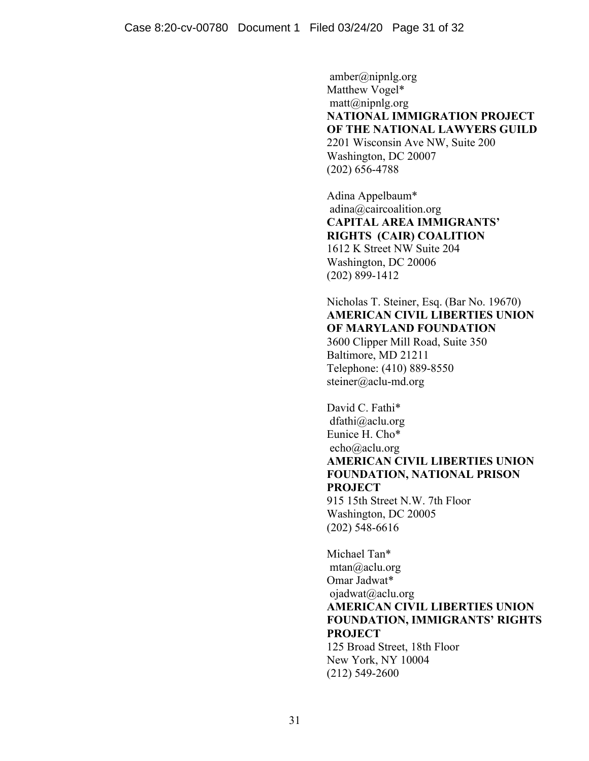amber@nipnlg.org Matthew Vogel\* matt@nipnlg.org **NATIONAL IMMIGRATION PROJECT OF THE NATIONAL LAWYERS GUILD** 2201 Wisconsin Ave NW, Suite 200 Washington, DC 20007 (202) 656-4788

Adina Appelbaum\* adina@caircoalition.org **CAPITAL AREA IMMIGRANTS' RIGHTS (CAIR) COALITION** 1612 K Street NW Suite 204 Washington, DC 20006 (202) 899-1412

# Nicholas T. Steiner, Esq. (Bar No. 19670) **AMERICAN CIVIL LIBERTIES UNION OF MARYLAND FOUNDATION**

3600 Clipper Mill Road, Suite 350 Baltimore, MD 21211 Telephone: (410) 889-8550 steiner@aclu-md.org

David C. Fathi\* dfathi@aclu.org Eunice H. Cho\* echo@aclu.org **AMERICAN CIVIL LIBERTIES UNION FOUNDATION, NATIONAL PRISON PROJECT** 915 15th Street N.W. 7th Floor

Washington, DC 20005 (202) 548-6616

Michael Tan\* mtan@aclu.org Omar Jadwat\* ojadwat@aclu.org **AMERICAN CIVIL LIBERTIES UNION FOUNDATION, IMMIGRANTS' RIGHTS PROJECT** 125 Broad Street, 18th Floor New York, NY 10004 (212) 549-2600